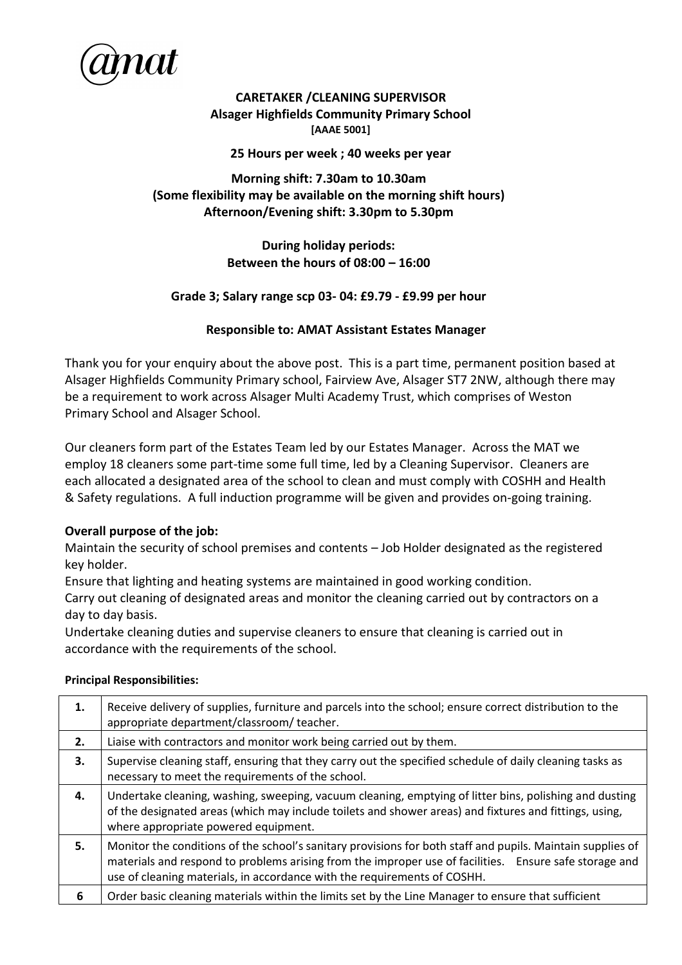

**CARETAKER /CLEANING SUPERVISOR Alsager Highfields Community Primary School [AAAE 5001]**

**25 Hours per week ; 40 weeks per year**

## **Morning shift: 7.30am to 10.30am (Some flexibility may be available on the morning shift hours) Afternoon/Evening shift: 3.30pm to 5.30pm**

## **During holiday periods: Between the hours of 08:00 – 16:00**

## **Grade 3; Salary range scp 03- 04: £9.79 - £9.99 per hour**

## **Responsible to: AMAT Assistant Estates Manager**

Thank you for your enquiry about the above post. This is a part time, permanent position based at Alsager Highfields Community Primary school, Fairview Ave, Alsager ST7 2NW, although there may be a requirement to work across Alsager Multi Academy Trust, which comprises of Weston Primary School and Alsager School.

Our cleaners form part of the Estates Team led by our Estates Manager. Across the MAT we employ 18 cleaners some part-time some full time, led by a Cleaning Supervisor. Cleaners are each allocated a designated area of the school to clean and must comply with COSHH and Health & Safety regulations. A full induction programme will be given and provides on-going training.

## **Overall purpose of the job:**

Maintain the security of school premises and contents – Job Holder designated as the registered key holder.

Ensure that lighting and heating systems are maintained in good working condition.

Carry out cleaning of designated areas and monitor the cleaning carried out by contractors on a day to day basis.

Undertake cleaning duties and supervise cleaners to ensure that cleaning is carried out in accordance with the requirements of the school.

# **1.** Receive delivery of supplies, furniture and parcels into the school; ensure correct distribution to the appropriate department/classroom/ teacher. **2.** Liaise with contractors and monitor work being carried out by them. **3.** Supervise cleaning staff, ensuring that they carry out the specified schedule of daily cleaning tasks as necessary to meet the requirements of the school. **4.** Undertake cleaning, washing, sweeping, vacuum cleaning, emptying of litter bins, polishing and dusting of the designated areas (which may include toilets and shower areas) and fixtures and fittings, using, where appropriate powered equipment. **5.** Monitor the conditions of the school's sanitary provisions for both staff and pupils. Maintain supplies of materials and respond to problems arising from the improper use of facilities. Ensure safe storage and use of cleaning materials, in accordance with the requirements of COSHH. **6** | Order basic cleaning materials within the limits set by the Line Manager to ensure that sufficient

# **Principal Responsibilities:**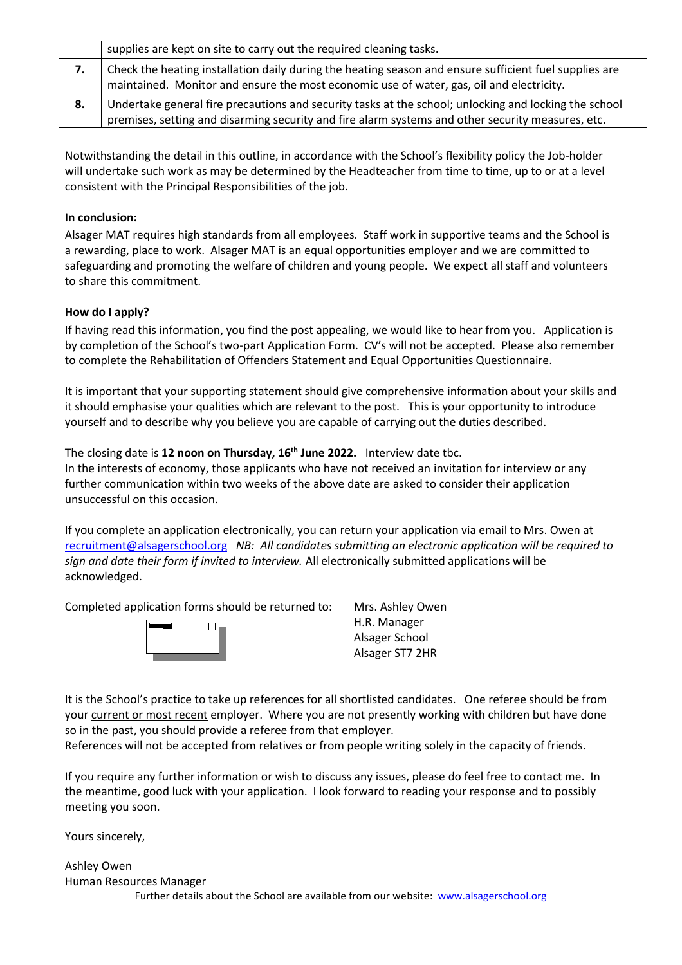|    | supplies are kept on site to carry out the required cleaning tasks.                                                                                                                                        |
|----|------------------------------------------------------------------------------------------------------------------------------------------------------------------------------------------------------------|
| 7. | Check the heating installation daily during the heating season and ensure sufficient fuel supplies are<br>maintained. Monitor and ensure the most economic use of water, gas, oil and electricity.         |
| 8. | Undertake general fire precautions and security tasks at the school; unlocking and locking the school<br>premises, setting and disarming security and fire alarm systems and other security measures, etc. |

Notwithstanding the detail in this outline, in accordance with the School's flexibility policy the Job-holder will undertake such work as may be determined by the Headteacher from time to time, up to or at a level consistent with the Principal Responsibilities of the job.

## **In conclusion:**

Alsager MAT requires high standards from all employees. Staff work in supportive teams and the School is a rewarding, place to work. Alsager MAT is an equal opportunities employer and we are committed to safeguarding and promoting the welfare of children and young people. We expect all staff and volunteers to share this commitment.

## **How do I apply?**

If having read this information, you find the post appealing, we would like to hear from you. Application is by completion of the School's two-part Application Form. CV's will not be accepted. Please also remember to complete the Rehabilitation of Offenders Statement and Equal Opportunities Questionnaire.

It is important that your supporting statement should give comprehensive information about your skills and it should emphasise your qualities which are relevant to the post. This is your opportunity to introduce yourself and to describe why you believe you are capable of carrying out the duties described.

The closing date is **12 noon on Thursday, 16th June 2022.** Interview date tbc.

In the interests of economy, those applicants who have not received an invitation for interview or any further communication within two weeks of the above date are asked to consider their application unsuccessful on this occasion.

If you complete an application electronically, you can return your application via email to Mrs. Owen at [recruitment@alsagerschool.org](mailto:recruitment@alsagerschool.org) *NB: All candidates submitting an electronic application will be required to sign and date their form if invited to interview.* All electronically submitted applications will be acknowledged.

Completed application forms should be returned to: Mrs. Ashley Owen



H.R. Manager Alsager School Alsager ST7 2HR

It is the School's practice to take up references for all shortlisted candidates. One referee should be from your current or most recent employer. Where you are not presently working with children but have done so in the past, you should provide a referee from that employer.

References will not be accepted from relatives or from people writing solely in the capacity of friends.

If you require any further information or wish to discuss any issues, please do feel free to contact me. In the meantime, good luck with your application. I look forward to reading your response and to possibly meeting you soon.

Yours sincerely,

Ashley Owen Human Resources Manager Further details about the School are available from our website: [www.alsagerschool.org](http://www.alsagerschool.org/)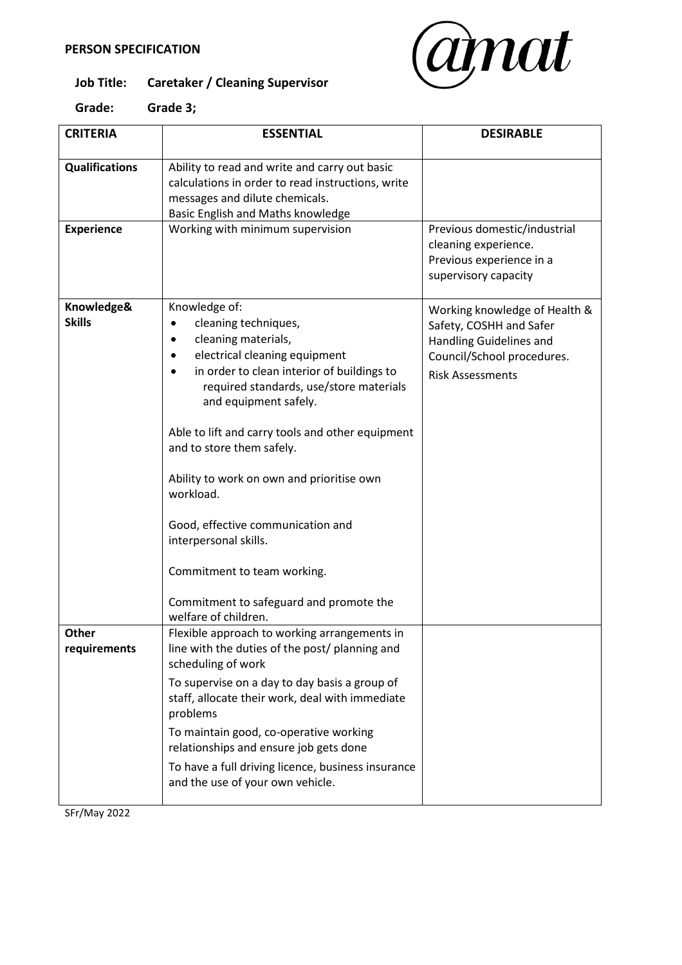

# **Job Title: Caretaker / Cleaning Supervisor**

| <b>CRITERIA</b>             | <b>ESSENTIAL</b>                                                                                                                                                                                                                                                                                                                                                                                                                                                                                                                | <b>DESIRABLE</b>                                                                                                                             |
|-----------------------------|---------------------------------------------------------------------------------------------------------------------------------------------------------------------------------------------------------------------------------------------------------------------------------------------------------------------------------------------------------------------------------------------------------------------------------------------------------------------------------------------------------------------------------|----------------------------------------------------------------------------------------------------------------------------------------------|
| <b>Qualifications</b>       | Ability to read and write and carry out basic<br>calculations in order to read instructions, write<br>messages and dilute chemicals.<br>Basic English and Maths knowledge                                                                                                                                                                                                                                                                                                                                                       |                                                                                                                                              |
| <b>Experience</b>           | Working with minimum supervision                                                                                                                                                                                                                                                                                                                                                                                                                                                                                                | Previous domestic/industrial<br>cleaning experience.<br>Previous experience in a<br>supervisory capacity                                     |
| Knowledge&<br><b>Skills</b> | Knowledge of:<br>cleaning techniques,<br>cleaning materials,<br>٠<br>electrical cleaning equipment<br>in order to clean interior of buildings to<br>required standards, use/store materials<br>and equipment safely.<br>Able to lift and carry tools and other equipment<br>and to store them safely.<br>Ability to work on own and prioritise own<br>workload.<br>Good, effective communication and<br>interpersonal skills.<br>Commitment to team working.<br>Commitment to safeguard and promote the<br>welfare of children. | Working knowledge of Health &<br>Safety, COSHH and Safer<br>Handling Guidelines and<br>Council/School procedures.<br><b>Risk Assessments</b> |
| Other<br>requirements       | Flexible approach to working arrangements in<br>line with the duties of the post/ planning and<br>scheduling of work<br>To supervise on a day to day basis a group of<br>staff, allocate their work, deal with immediate<br>problems<br>To maintain good, co-operative working<br>relationships and ensure job gets done<br>To have a full driving licence, business insurance<br>and the use of your own vehicle.                                                                                                              |                                                                                                                                              |

SFr/May 2022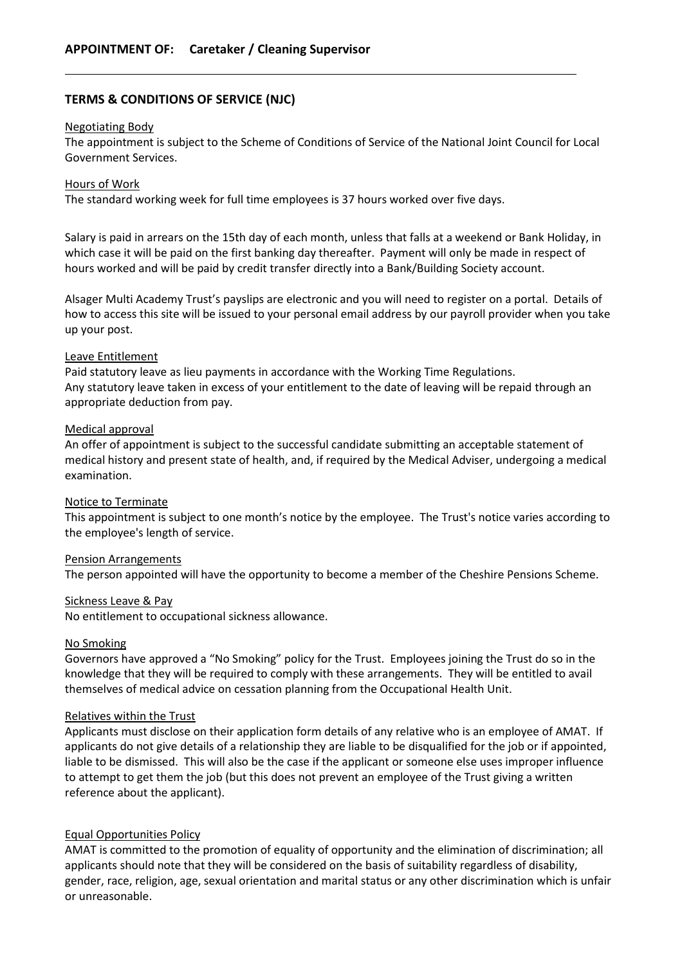## **TERMS & CONDITIONS OF SERVICE (NJC)**

#### Negotiating Body

The appointment is subject to the Scheme of Conditions of Service of the National Joint Council for Local Government Services.

#### Hours of Work

The standard working week for full time employees is 37 hours worked over five days.

Salary is paid in arrears on the 15th day of each month, unless that falls at a weekend or Bank Holiday, in which case it will be paid on the first banking day thereafter. Payment will only be made in respect of hours worked and will be paid by credit transfer directly into a Bank/Building Society account.

Alsager Multi Academy Trust's payslips are electronic and you will need to register on a portal. Details of how to access this site will be issued to your personal email address by our payroll provider when you take up your post.

#### Leave Entitlement

Paid statutory leave as lieu payments in accordance with the Working Time Regulations. Any statutory leave taken in excess of your entitlement to the date of leaving will be repaid through an appropriate deduction from pay.

#### Medical approval

An offer of appointment is subject to the successful candidate submitting an acceptable statement of medical history and present state of health, and, if required by the Medical Adviser, undergoing a medical examination.

#### Notice to Terminate

This appointment is subject to one month's notice by the employee. The Trust's notice varies according to the employee's length of service.

#### Pension Arrangements

The person appointed will have the opportunity to become a member of the Cheshire Pensions Scheme.

#### Sickness Leave & Pay

No entitlement to occupational sickness allowance.

#### No Smoking

Governors have approved a "No Smoking" policy for the Trust. Employees joining the Trust do so in the knowledge that they will be required to comply with these arrangements. They will be entitled to avail themselves of medical advice on cessation planning from the Occupational Health Unit.

#### Relatives within the Trust

Applicants must disclose on their application form details of any relative who is an employee of AMAT. If applicants do not give details of a relationship they are liable to be disqualified for the job or if appointed, liable to be dismissed. This will also be the case if the applicant or someone else uses improper influence to attempt to get them the job (but this does not prevent an employee of the Trust giving a written reference about the applicant).

#### Equal Opportunities Policy

AMAT is committed to the promotion of equality of opportunity and the elimination of discrimination; all applicants should note that they will be considered on the basis of suitability regardless of disability, gender, race, religion, age, sexual orientation and marital status or any other discrimination which is unfair or unreasonable.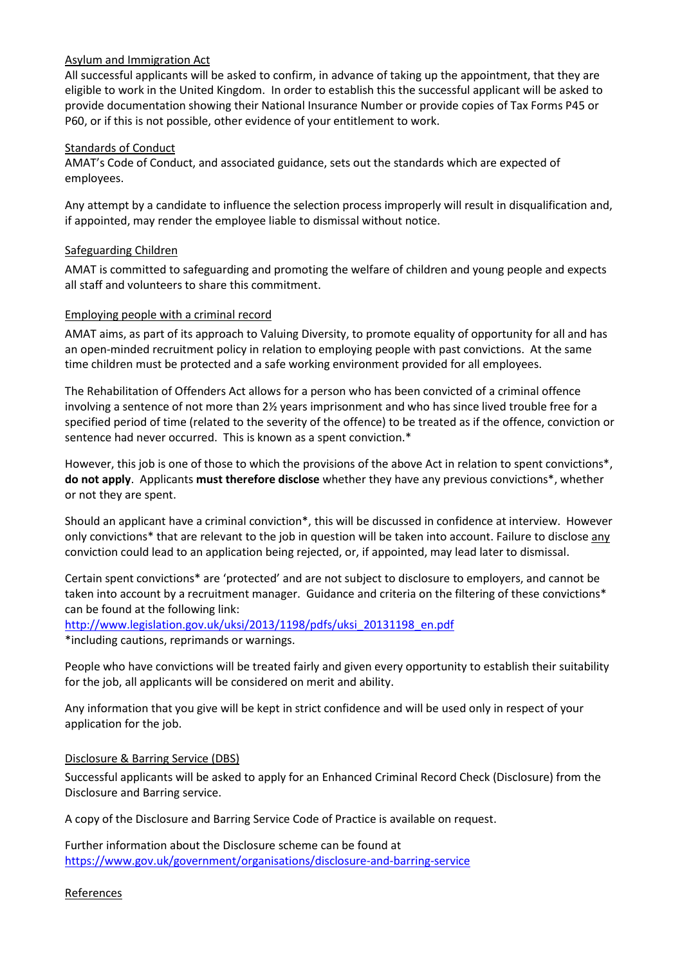## Asylum and Immigration Act

All successful applicants will be asked to confirm, in advance of taking up the appointment, that they are eligible to work in the United Kingdom. In order to establish this the successful applicant will be asked to provide documentation showing their National Insurance Number or provide copies of Tax Forms P45 or P60, or if this is not possible, other evidence of your entitlement to work.

#### Standards of Conduct

AMAT's Code of Conduct, and associated guidance, sets out the standards which are expected of employees.

Any attempt by a candidate to influence the selection process improperly will result in disqualification and, if appointed, may render the employee liable to dismissal without notice.

### Safeguarding Children

AMAT is committed to safeguarding and promoting the welfare of children and young people and expects all staff and volunteers to share this commitment.

### Employing people with a criminal record

AMAT aims, as part of its approach to Valuing Diversity, to promote equality of opportunity for all and has an open-minded recruitment policy in relation to employing people with past convictions. At the same time children must be protected and a safe working environment provided for all employees.

The Rehabilitation of Offenders Act allows for a person who has been convicted of a criminal offence involving a sentence of not more than 2½ years imprisonment and who has since lived trouble free for a specified period of time (related to the severity of the offence) to be treated as if the offence, conviction or sentence had never occurred. This is known as a spent conviction.\*

However, this job is one of those to which the provisions of the above Act in relation to spent convictions\*, **do not apply**. Applicants **must therefore disclose** whether they have any previous convictions\*, whether or not they are spent.

Should an applicant have a criminal conviction\*, this will be discussed in confidence at interview. However only convictions\* that are relevant to the job in question will be taken into account. Failure to disclose any conviction could lead to an application being rejected, or, if appointed, may lead later to dismissal.

Certain spent convictions\* are 'protected' and are not subject to disclosure to employers, and cannot be taken into account by a recruitment manager. Guidance and criteria on the filtering of these convictions\* can be found at the following link:

[http://www.legislation.gov.uk/uksi/2013/1198/pdfs/uksi\\_20131198\\_en.pdf](http://www.legislation.gov.uk/uksi/2013/1198/pdfs/uksi_20131198_en.pdf) \*including cautions, reprimands or warnings.

People who have convictions will be treated fairly and given every opportunity to establish their suitability for the job, all applicants will be considered on merit and ability.

Any information that you give will be kept in strict confidence and will be used only in respect of your application for the job.

#### Disclosure & Barring Service (DBS)

Successful applicants will be asked to apply for an Enhanced Criminal Record Check (Disclosure) from the Disclosure and Barring service.

A copy of the Disclosure and Barring Service Code of Practice is available on request.

Further information about the Disclosure scheme can be found at <https://www.gov.uk/government/organisations/disclosure-and-barring-service>

References